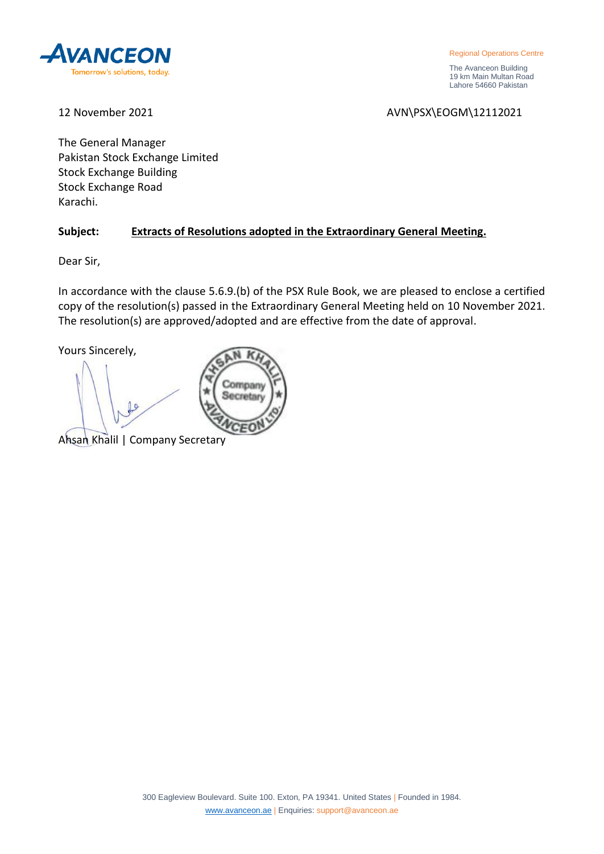

Regional Operations Centre

 The Avanceon Building 19 km Main Multan Road Lahore 54660 Pakistan

12 November 2021 **AVN\PSX\EOGM\12112021** 

The General Manager Pakistan Stock Exchange Limited Stock Exchange Building Stock Exchange Road Karachi.

# **Subject: Extracts of Resolutions adopted in the Extraordinary General Meeting.**

Company Secretary

Dear Sir,

In accordance with the clause 5.6.9.(b) of the PSX Rule Book, we are pleased to enclose a certified copy of the resolution(s) passed in the Extraordinary General Meeting held on 10 November 2021. The resolution(s) are approved/adopted and are effective from the date of approval.

Yours Sincerely,

Ahsan Khalil | Company Secretary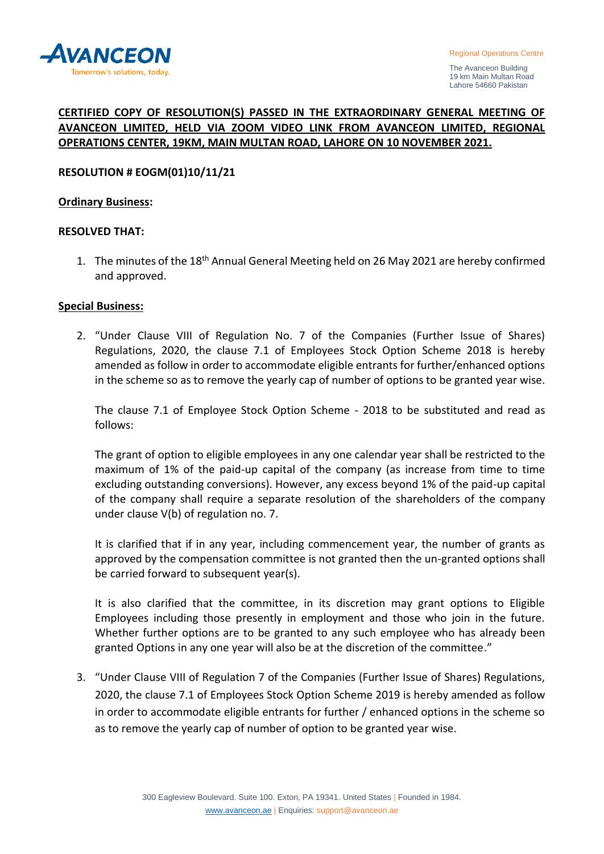

 The Avanceon Building 19 km Main Multan Road Lahore 54660 Pakistan

# **CERTIFIED COPY OF RESOLUTION(S) PASSED IN THE EXTRAORDINARY GENERAL MEETING OF AVANCEON LIMITED, HELD VIA ZOOM VIDEO LINK FROM AVANCEON LIMITED, REGIONAL OPERATIONS CENTER, 19KM, MAIN MULTAN ROAD, LAHORE ON 10 NOVEMBER 2021.**

## **RESOLUTION # EOGM(01)10/11/21**

#### **Ordinary Business:**

#### **RESOLVED THAT:**

1. The minutes of the 18<sup>th</sup> Annual General Meeting held on 26 May 2021 are hereby confirmed and approved.

#### **Special Business:**

2. "Under Clause VIII of Regulation No. 7 of the Companies (Further Issue of Shares) Regulations, 2020, the clause 7.1 of Employees Stock Option Scheme 2018 is hereby amended as follow in order to accommodate eligible entrants for further/enhanced options in the scheme so as to remove the yearly cap of number of options to be granted year wise.

The clause 7.1 of Employee Stock Option Scheme - 2018 to be substituted and read as follows:

The grant of option to eligible employees in any one calendar year shall be restricted to the maximum of 1% of the paid-up capital of the company (as increase from time to time excluding outstanding conversions). However, any excess beyond 1% of the paid-up capital of the company shall require a separate resolution of the shareholders of the company under clause V(b) of regulation no. 7.

It is clarified that if in any year, including commencement year, the number of grants as approved by the compensation committee is not granted then the un-granted options shall be carried forward to subsequent year(s).

It is also clarified that the committee, in its discretion may grant options to Eligible Employees including those presently in employment and those who join in the future. Whether further options are to be granted to any such employee who has already been granted Options in any one year will also be at the discretion of the committee."

3. "Under Clause VIII of Regulation 7 of the Companies (Further Issue of Shares) Regulations, 2020, the clause 7.1 of Employees Stock Option Scheme 2019 is hereby amended as follow in order to accommodate eligible entrants for further / enhanced options in the scheme so as to remove the yearly cap of number of option to be granted year wise.